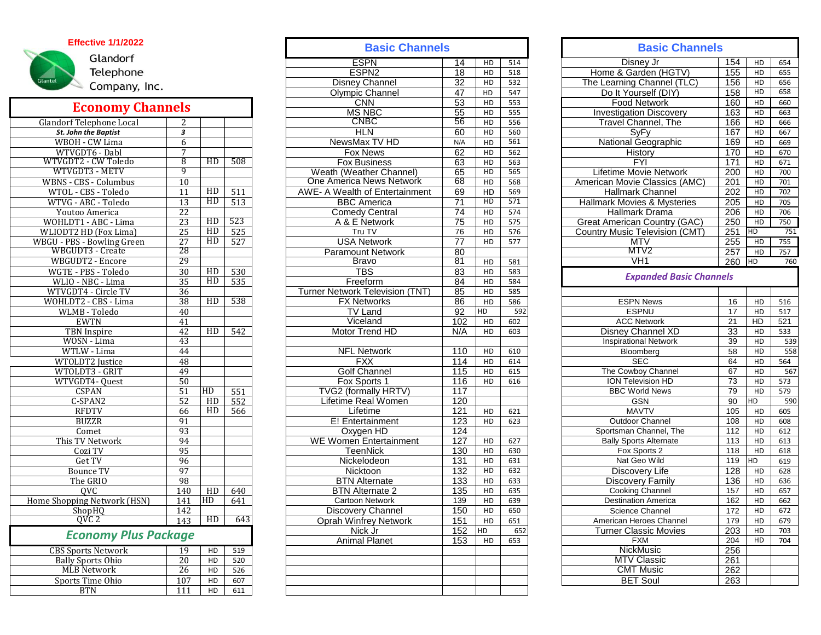## **Effective 1/1/2022**



Г

## **Economy Channels**

| Glandorf Telephone Local     | 2               |    |                  |
|------------------------------|-----------------|----|------------------|
| St. John the Baptist         | 3               |    |                  |
| WBOH - CW Lima               | 6               |    |                  |
| WTVGDT6 - Dabl               | 7               |    |                  |
| WTVGDT2 - CW Toledo          | 8               | HD | 508              |
| WTVGDT3 - METV               | 9               |    |                  |
| WBNS - CBS - Columbus        | 10              |    |                  |
| WTOL - CBS - Toledo          | 11              | HD | 511              |
| WTVG - ABC - Toledo          | 13              | HD | 513              |
| Youtoo America               | 22              |    |                  |
| WOHLDT1 - ABC - Lima         | 23              | HD | 523              |
| <b>WLIODT2 HD (Fox Lima)</b> | 25              | HD | 525              |
| WBGU - PBS - Bowling Green   | 27              | HD | 527              |
| WBGUDT3 - Create             | 28              |    |                  |
| WBGUDT2 - Encore             | 29              |    |                  |
| WGTE - PBS - Toledo          | $\overline{30}$ | HD | 530              |
| WLIO - NBC - Lima            | 35              | HD | 535              |
| WTVGDT4 - Circle TV          | 36              |    |                  |
| WOHLDT2 - CBS - Lima         | 38              | HD | 538              |
| <b>WLMB</b> - Toledo         | 40              |    |                  |
| <b>EWTN</b>                  | 41              |    |                  |
| <b>TBN</b> Inspire           | 42              | HD | 542              |
| WOSN - Lima                  | 43              |    |                  |
| WTLW - Lima                  | 44              |    |                  |
| WTOLDT2 Justice              | 48              |    |                  |
| WTOLDT3 - GRIT               | 49              |    |                  |
| WTVGDT4- Quest               | 50              |    |                  |
| <b>CSPAN</b>                 | 51              | HD | 551              |
| C-SPAN2                      | 52              | HD | $55\overline{2}$ |
| <b>RFDTV</b>                 | 66              | HD | 566              |
| <b>BUZZR</b>                 | 91              |    |                  |
| Comet                        | 93              |    |                  |
| This TV Network              | 94              |    |                  |
| Cozi TV                      | 95              |    |                  |
| Get TV                       | 96              |    |                  |
| <b>Bounce TV</b>             | 97              |    |                  |
| The GRIO                     | 98              |    |                  |
| $\overline{OVC}$             | 140             | HD | 640              |
| Home Shopping Network (HSN)  | 141             | HD | 641              |
| ShopHQ                       | 142             |    |                  |
| QVC 2                        | 143             | HD | 643              |
| <b>Economy Plus Package</b>  |                 |    |                  |
| <b>CBS Sports Network</b>    | 19              | HD | 519              |
| <b>Bally Sports Ohio</b>     | $\overline{20}$ | HD | 520              |
| <b>MLB Network</b>           | 26              | HD | 526              |
| <b>Sports Time Ohio</b>      | 107             | HD | 607              |
| <b>BTN</b>                   | 111             | HD | 611              |
|                              |                 |    |                  |

|                             |                         |                |     | <b>Basic Channels</b>           |                 |                |                  | <b>Basic Channels</b> |                                        |                 |                |     |  |
|-----------------------------|-------------------------|----------------|-----|---------------------------------|-----------------|----------------|------------------|-----------------------|----------------------------------------|-----------------|----------------|-----|--|
| Glandorf                    |                         |                |     | <b>ESPN</b>                     | 14              | HD             | 514              |                       | Disney Jr                              | 154             | HD             | 654 |  |
| Telephone                   |                         |                |     | ESPN <sub>2</sub>               | 18              | HD             | 518              |                       | Home & Garden (HGTV)                   | 155             | HD             | 655 |  |
| Glantel                     |                         |                |     | <b>Disney Channel</b>           | 32              | HD             | 532              |                       | The Learning Channel (TLC)             | 156             | HD             | 656 |  |
| Company, Inc.               |                         |                |     | <b>Olympic Channel</b>          | 47              | HD             | 547              |                       | Do It Yourself (DIY)                   | 158             | HD             | 658 |  |
|                             |                         |                |     | <b>CNN</b>                      | 53              | HD             | 553              |                       | <b>Food Network</b>                    | 160             | HD             | 660 |  |
| <b>Economy Channels</b>     |                         |                |     | <b>MS NBC</b>                   | 55              | HD             | 555              |                       | <b>Investigation Discovery</b>         | 163             | H <sub>D</sub> | 663 |  |
| Glandorf Telephone Local    |                         |                |     | <b>CNBC</b>                     | 56              | HD             | 556              |                       | Travel Channel, The                    | 166             | H <sub>D</sub> | 666 |  |
| St. John the Baptist        | $\overline{\mathbf{3}}$ |                |     | <b>HLN</b>                      | 60              | HD             | 560              |                       | SyFy                                   | 167             | HD             | 667 |  |
| WBOH - CW Lima              | 6                       |                |     | NewsMax TV HD                   | N/A             | HD             | 561              |                       | <b>National Geographic</b>             | 169             | HD             | 669 |  |
| WTVGDT6 - Dabl              | 7                       |                |     | Fox News                        | 62              | HD             | 562              |                       | History                                | 170             | HD             | 670 |  |
| WTVGDT2 - CW Toledo         | 8                       | HD             | 508 | <b>Fox Business</b>             | 63              | H <sub>D</sub> | 563              |                       | <b>FYI</b>                             | 171             | H <sub>D</sub> | 671 |  |
| WTVGDT3 - METV              | 9                       |                |     | Weath (Weather Channel)         | 65              | HD             | 565              |                       | <b>Lifetime Movie Network</b>          | 200             | H <sub>D</sub> | 700 |  |
|                             |                         |                |     | One America News Network        | 68              |                |                  |                       |                                        |                 |                |     |  |
| WBNS - CBS - Columbus       | 10                      | HD             |     |                                 |                 | HD             | 568              |                       | American Movie Classics (AMC)          | 201             | HD             | 701 |  |
| WTOL - CBS - Toledo         | 11                      | HD             | 511 | AWE- A Wealth of Entertainment  | 69              | HD             | 569              |                       | <b>Hallmark Channel</b>                | 202             | HD             | 702 |  |
| WTVG - ABC - Toledo         | 13                      |                | 513 | <b>BBC</b> America              | $\overline{71}$ | H <sub>D</sub> | $\overline{571}$ |                       | <b>Hallmark Movies &amp; Mysteries</b> | 205             | HD             | 705 |  |
| Youtoo America              | 22                      |                |     | <b>Comedy Central</b>           | 74              | H <sub>D</sub> | 574              |                       | <b>Hallmark Drama</b>                  | 206             | H <sub>D</sub> | 706 |  |
| WOHLDT1 - ABC - Lima        | 23                      | HD             | 523 | A & E Network                   | 75              | HD             | 575              |                       | Great American Country (GAC)           | 250             | HD             | 750 |  |
| WLIODT2 HD (Fox Lima)       | $\overline{25}$         | HD             | 525 | Tru TV                          | 76              | HD             | 576              |                       | <b>Country Music Television (CMT)</b>  | 251             | <b>HD</b>      | 751 |  |
| WBGU - PBS - Bowling Green  | 27                      | HD             | 527 | <b>USA Network</b>              | $\overline{77}$ | HD             | 577              |                       | <b>MTV</b>                             | 255             | HD             | 755 |  |
| WBGUDT3 - Create            | 28                      |                |     | <b>Paramount Network</b>        | 80              |                |                  |                       | MTV <sub>2</sub>                       | 257             | HD             | 757 |  |
| <b>WBGUDT2 - Encore</b>     | 29                      |                |     | <b>Bravo</b>                    | 81              | HD             | 581              |                       | VH1                                    | 260             | <b>HD</b>      | 760 |  |
| WGTE - PBS - Toledo         | 30                      | H <sub>D</sub> | 530 | TBS                             | 83              | HD             | 583              |                       | <b>Expanded Basic Channels</b>         |                 |                |     |  |
| WLIO - NBC - Lima           | 35                      | HD             | 535 | Freeform                        | 84              | HD             | 584              |                       |                                        |                 |                |     |  |
| WTVGDT4 - Circle TV         | 36                      |                |     | Turner Network Television (TNT) | 85              | HD             | 585              |                       |                                        |                 |                |     |  |
| WOHLDT2 - CBS - Lima        | 38                      | HD             | 538 | <b>FX Networks</b>              | 86              | HD             | 586              |                       | <b>ESPN News</b>                       | 16              | HD             | 516 |  |
| WLMB - Toledo               | 40                      |                |     | <b>TV Land</b>                  | 92              | HD             | 592              |                       | <b>ESPNU</b>                           | $\overline{17}$ | H <sub>D</sub> | 517 |  |
| <b>EWTN</b>                 | 41                      |                |     | Viceland                        | 102             | HD             | 602              |                       | <b>ACC Network</b>                     | 21              | HD             | 521 |  |
| <b>TBN</b> Inspire          | 42                      | HD             | 542 | Motor Trend HD                  | N/A             | HD             | 603              |                       | Disney Channel XD                      | 33              | HD             | 533 |  |
| WOSN - Lima                 | 43                      |                |     |                                 |                 |                |                  |                       | <b>Inspirational Network</b>           | 39              | HD             | 539 |  |
| WTLW - Lima                 | 44                      |                |     | <b>NFL Network</b>              | 110             | HD             | 610              |                       | Bloomberg                              | 58              | HD             | 558 |  |
| WTOLDT2 Justice             | 48                      |                |     | <b>FXX</b>                      | 114             | HD             | 614              |                       | <b>SEC</b>                             | 64              | HD             | 564 |  |
| WTOLDT3 - GRIT              | 49                      |                |     | <b>Golf Channel</b>             | 115             | HD             | 615              |                       | The Cowboy Channel                     | 67              | HD             | 567 |  |
| WTVGDT4-Quest               | 50                      |                |     | Fox Sports 1                    | 116             | HD             | 616              |                       | ION Television HD                      | 73              | HD             | 573 |  |
| <b>CSPAN</b>                | 51                      | HD             | 551 | TVG2 (formally HRTV)            | 117             |                |                  |                       | <b>BBC World News</b>                  | 79              | HD             | 579 |  |
| C-SPAN2                     | 52                      | HD             | 552 | Lifetime Real Women             | 120             |                |                  |                       | <b>GSN</b>                             | 90              | H <sub>D</sub> | 590 |  |
| <b>RFDTV</b>                | 66                      | HD             | 566 | Lifetime                        | 121             | HD             | 621              |                       | <b>MAVTV</b>                           | 105             | HD             | 605 |  |
| <b>BUZZR</b>                | 91                      |                |     | E! Entertainment                | 123             | HD             | 623              |                       | Outdoor Channel                        | 108             | HD             | 608 |  |
| Comet                       | 93                      |                |     | Oxygen HD                       | 124             |                |                  |                       | Sportsman Channel, The                 | 112             | HD             | 612 |  |
| This TV Network             | 94                      |                |     | <b>WE Women Entertainment</b>   | 127             | HD             | 627              |                       | <b>Bally Sports Alternate</b>          | 113             | HD             | 613 |  |
| Cozi TV                     | 95                      |                |     | <b>TeenNick</b>                 | 130             | HD             | 630              |                       | Fox Sports 2                           | 118             | HD             | 618 |  |
| Get TV                      | 96                      |                |     | Nickelodeon                     | 131             | HD             | 631              |                       | Nat Geo Wild                           | 119             | HD             | 619 |  |
| <b>Bounce TV</b>            | 97                      |                |     | Nicktoon                        | 132             | HD             | 632              |                       | Discovery Life                         | 128             | HD             | 628 |  |
| The GRIO                    | 98                      |                |     | <b>BTN</b> Alternate            | 133             | HD             | 633              |                       | <b>Discovery Family</b>                | 136             | HD             | 636 |  |
| OVC                         | 140                     |                |     |                                 | 135             | HD             | 635              |                       |                                        | 157             | HD             | 657 |  |
|                             |                         | HD             | 640 | <b>BTN Alternate 2</b>          |                 |                |                  |                       | <b>Cooking Channel</b>                 |                 |                |     |  |
| Home Shopping Network (HSN) | 141                     | HD             | 641 | <b>Cartoon Network</b>          | 139             | HD             | 639              |                       | <b>Destination America</b>             | 162             | HD             | 662 |  |
| ShopHQ                      | 142                     |                |     | Discovery Channel               | 150             | HD             | 650              |                       | Science Channel                        | 172             | HD             | 672 |  |
| OVC 2                       | 143                     | HD             | 643 | <b>Oprah Winfrey Network</b>    | 151             | HD             | 651              |                       | American Heroes Channel                | 179             | HD             | 679 |  |
| <b>Economy Plus Package</b> |                         |                |     | Nick Jr                         | 152             | HD             | 652              |                       | <b>Turner Classic Movies</b>           | 203             | HD             | 703 |  |
|                             |                         |                |     | <b>Animal Planet</b>            | 153             | HD             | 653              |                       | <b>FXM</b>                             | 204             | HD             | 704 |  |
| <b>CBS Sports Network</b>   | 19                      | HD             | 519 |                                 |                 |                |                  |                       | NickMusic                              | 256             |                |     |  |
| <b>Bally Sports Ohio</b>    | 20                      | H <sub>D</sub> | 520 |                                 |                 |                |                  |                       | <b>MTV Classic</b>                     | 261             |                |     |  |
| MLB Network                 | 26                      | HD             | 526 |                                 |                 |                |                  |                       | <b>CMT Music</b>                       | 262             |                |     |  |
| Sports Time Ohio            | 107                     | HD             | 607 |                                 |                 |                |                  |                       | <b>BET Soul</b>                        | 263             |                |     |  |
| <b>BTN</b>                  | 111                     | HD             | 611 |                                 |                 |                |                  |                       |                                        |                 |                |     |  |

| <b>Basic Channels</b>           |                 |    |     |                                                   | <b>Basic Channels</b> |                      |            |  |  |
|---------------------------------|-----------------|----|-----|---------------------------------------------------|-----------------------|----------------------|------------|--|--|
| <b>ESPN</b>                     | 14              | HD | 514 | Disney Jr                                         | 154                   | HD                   | 654        |  |  |
| ESPN <sub>2</sub>               | 18              | HD | 518 | Home & Garden (HGTV)                              | 155                   | HD                   | 655        |  |  |
| <b>Disney Channel</b>           | $\overline{32}$ | HD | 532 | The Learning Channel (TLC)                        | 156                   | HD                   | 656        |  |  |
| <b>Olympic Channel</b>          | 47              | HD | 547 | Do It Yourself (DIY)                              | 158                   | HD                   | 658        |  |  |
| <b>CNN</b>                      | 53              | HD | 553 | <b>Food Network</b>                               | 160                   | HD                   | 660        |  |  |
| <b>MS NBC</b>                   | 55              | HD | 555 | <b>Investigation Discovery</b>                    | 163                   | HD                   | 663        |  |  |
| <b>CNBC</b>                     | 56              | HD | 556 | Travel Channel, The                               | 166                   | HD                   | 666        |  |  |
| <b>HLN</b>                      | 60              | HD | 560 | SyFy                                              | 167                   | HD                   | 667        |  |  |
| NewsMax TV HD                   | N/A             | HD | 561 | National Geographic                               | 169                   | H <sub>D</sub>       | 669        |  |  |
| <b>Fox News</b>                 | 62              | HD | 562 | History                                           | 170                   | HD                   | 670        |  |  |
| <b>Fox Business</b>             | 63              | HD | 563 | <b>FYI</b>                                        | 171                   | HD                   | 671        |  |  |
| th (Weather Channel)            | 65              | HD | 565 | Lifetime Movie Network                            | 200                   | HD                   | 700        |  |  |
| America News Network            | 68              | HD | 568 | American Movie Classics (AMC)                     | 201                   | HD                   | 701        |  |  |
| <b>Wealth of Entertainment</b>  | 69              | HD | 569 | <b>Hallmark Channel</b>                           | $\overline{202}$      | H <sub>D</sub>       | 702        |  |  |
| <b>BBC</b> America              | 71              | HD | 571 | Hallmark Movies & Mysteries                       | 205                   | HD                   | 705        |  |  |
| <b>Comedy Central</b>           | 74              | HD | 574 | Hallmark Drama                                    | 206                   | HD                   | 706        |  |  |
| A & E Network                   | $\overline{75}$ | HD | 575 | <b>Great American Country (GAC)</b>               | 250                   | HD                   | 750        |  |  |
| Tru TV                          | 76              | HD | 576 | <b>Country Music Television (CMT)</b>             | 251                   | HD                   | 751        |  |  |
| <b>USA Network</b>              | 77              | HD | 577 | <b>MTV</b>                                        | 255                   | HD                   | 755        |  |  |
| aramount Network                | 80              |    |     | MTV2                                              | 257                   | HD                   | 757        |  |  |
| <b>Bravo</b>                    | 81              | HD | 581 | VH <sub>1</sub>                                   | 260                   | HD                   | 760        |  |  |
| <b>TBS</b>                      | 83              | HD | 583 |                                                   |                       |                      |            |  |  |
| Freeform                        | 84              | HD | 584 | <b>Expanded Basic Channels</b>                    |                       |                      |            |  |  |
| <b>Vetwork Television (TNT)</b> | 85              | HD | 585 |                                                   |                       |                      |            |  |  |
| <b>FX Networks</b>              | 86              | HD | 586 | <b>ESPN News</b>                                  | 16                    | HD                   | 516        |  |  |
| <b>TV Land</b>                  | 92              | HD | 592 | <b>ESPNU</b>                                      | 17                    | HD                   | 517        |  |  |
| Viceland                        | 102             | HD | 602 | <b>ACC Network</b>                                | 21                    | HD                   | 521        |  |  |
| Motor Trend HD                  | N/A             | HD | 603 | Disney Channel XD                                 | 33                    | HD                   | 533        |  |  |
|                                 |                 |    |     | <b>Inspirational Network</b>                      | 39                    | HD                   | 539        |  |  |
| <b>NFL Network</b>              | 110             | HD | 610 | Bloomberg                                         | 58                    | HD                   | 558        |  |  |
| <b>FXX</b>                      | 114             | HD | 614 | <b>SEC</b>                                        | 64                    | HD                   | 564        |  |  |
| <b>Golf Channel</b>             | 115             | HD | 615 | The Cowboy Channel                                | 67                    | HD                   | 567        |  |  |
| Fox Sports 1                    | 116             | HD | 616 | ION Television HD                                 | 73                    | HD                   | 573        |  |  |
| G2 (formally HRTV)              | 117             |    |     | <b>BBC World News</b>                             | 79                    | HD                   | 579        |  |  |
| etime Real Women                | 120             |    |     | <b>GSN</b>                                        | 90                    | HD                   | 590        |  |  |
| Lifetime                        | 121             | HD | 621 | <b>MAVTV</b>                                      | 105                   | HD                   | 605        |  |  |
| E! Entertainment                | 123             | HD | 623 | Outdoor Channel                                   | 108                   | HD                   | 608        |  |  |
| Oxygen HD                       | 124             |    |     | Sportsman Channel, The                            | 112                   | HD                   | 612        |  |  |
| <b>Nomen Entertainment</b>      | 127             | HD | 627 | <b>Bally Sports Alternate</b>                     | 113                   | HD                   | 613        |  |  |
| TeenNick                        | 130             | HD | 630 | Fox Sports 2                                      | 118                   | HD                   | 618        |  |  |
| Nickelodeon                     | 131             | HD | 631 | Nat Geo Wild                                      | 119                   | HD                   | 619        |  |  |
| Nicktoon                        | 132             | HD | 632 | Discovery Life                                    | 128                   | HD                   | 628        |  |  |
| <b>BTN</b> Alternate            | 133             | HD | 633 |                                                   | 136                   |                      |            |  |  |
| <b>BTN Alternate 2</b>          |                 | HD | 635 | <b>Discovery Family</b><br><b>Cooking Channel</b> | 157                   | HD<br>H <sub>D</sub> | 636<br>657 |  |  |
| <b>Cartoon Network</b>          | 135             |    |     |                                                   | 162                   | HD                   |            |  |  |
|                                 | 139             | HD | 639 | <b>Destination America</b>                        |                       |                      | 662        |  |  |
| Discovery Channel               | 150             | HD | 650 | Science Channel                                   | 172                   | HD                   | 672        |  |  |
| rah Winfrey Network             | 151             | HD | 651 | American Heroes Channel                           | 179                   | HD                   | 679        |  |  |
| Nick Jr                         | 152             | HD | 652 | <b>Turner Classic Movies</b>                      | 203                   | HD                   | 703        |  |  |
| <b>Animal Planet</b>            | 153             | HD | 653 | <b>FXM</b>                                        | 204                   | HD                   | 704        |  |  |
|                                 |                 |    |     | <b>NickMusic</b>                                  | 256                   |                      |            |  |  |
|                                 |                 |    |     | <b>MTV Classic</b>                                | 261                   |                      |            |  |  |
|                                 |                 |    |     | <b>CMT Music</b>                                  | 262                   |                      |            |  |  |
|                                 |                 |    |     | <b>BET Soul</b>                                   | 263                   |                      |            |  |  |